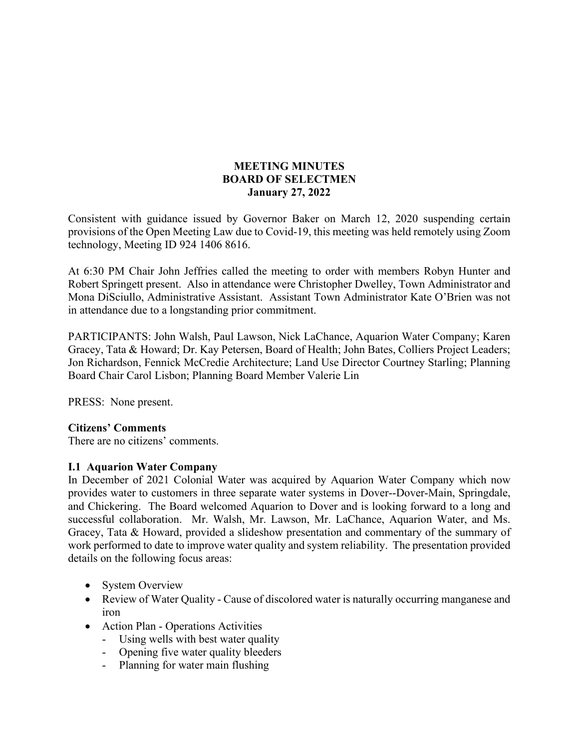### **MEETING MINUTES BOARD OF SELECTMEN January 27, 2022**

Consistent with guidance issued by Governor Baker on March 12, 2020 suspending certain provisions of the Open Meeting Law due to Covid-19, this meeting was held remotely using Zoom technology, Meeting ID 924 1406 8616.

At 6:30 PM Chair John Jeffries called the meeting to order with members Robyn Hunter and Robert Springett present. Also in attendance were Christopher Dwelley, Town Administrator and Mona DiSciullo, Administrative Assistant. Assistant Town Administrator Kate O'Brien was not in attendance due to a longstanding prior commitment.

PARTICIPANTS: John Walsh, Paul Lawson, Nick LaChance, Aquarion Water Company; Karen Gracey, Tata & Howard; Dr. Kay Petersen, Board of Health; John Bates, Colliers Project Leaders; Jon Richardson, Fennick McCredie Architecture; Land Use Director Courtney Starling; Planning Board Chair Carol Lisbon; Planning Board Member Valerie Lin

PRESS: None present.

#### **Citizens' Comments**

There are no citizens' comments.

#### **I.1 Aquarion Water Company**

In December of 2021 Colonial Water was acquired by Aquarion Water Company which now provides water to customers in three separate water systems in Dover--Dover-Main, Springdale, and Chickering. The Board welcomed Aquarion to Dover and is looking forward to a long and successful collaboration. Mr. Walsh, Mr. Lawson, Mr. LaChance, Aquarion Water, and Ms. Gracey, Tata & Howard, provided a slideshow presentation and commentary of the summary of work performed to date to improve water quality and system reliability. The presentation provided details on the following focus areas:

- System Overview
- Review of Water Quality Cause of discolored water is naturally occurring manganese and iron
- Action Plan Operations Activities
	- Using wells with best water quality
	- Opening five water quality bleeders
	- Planning for water main flushing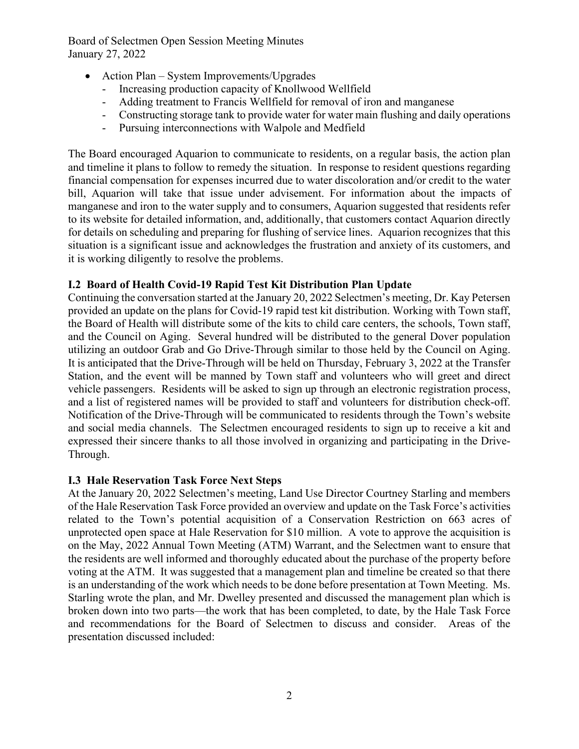Board of Selectmen Open Session Meeting Minutes January 27, 2022

- Action Plan System Improvements/Upgrades
	- Increasing production capacity of Knollwood Wellfield
	- Adding treatment to Francis Wellfield for removal of iron and manganese
	- Constructing storage tank to provide water for water main flushing and daily operations
	- Pursuing interconnections with Walpole and Medfield

The Board encouraged Aquarion to communicate to residents, on a regular basis, the action plan and timeline it plans to follow to remedy the situation. In response to resident questions regarding financial compensation for expenses incurred due to water discoloration and/or credit to the water bill, Aquarion will take that issue under advisement. For information about the impacts of manganese and iron to the water supply and to consumers, Aquarion suggested that residents refer to its website for detailed information, and, additionally, that customers contact Aquarion directly for details on scheduling and preparing for flushing of service lines. Aquarion recognizes that this situation is a significant issue and acknowledges the frustration and anxiety of its customers, and it is working diligently to resolve the problems.

## **I.2 Board of Health Covid-19 Rapid Test Kit Distribution Plan Update**

Continuing the conversation started at the January 20, 2022 Selectmen's meeting, Dr. Kay Petersen provided an update on the plans for Covid-19 rapid test kit distribution. Working with Town staff, the Board of Health will distribute some of the kits to child care centers, the schools, Town staff, and the Council on Aging. Several hundred will be distributed to the general Dover population utilizing an outdoor Grab and Go Drive-Through similar to those held by the Council on Aging. It is anticipated that the Drive-Through will be held on Thursday, February 3, 2022 at the Transfer Station, and the event will be manned by Town staff and volunteers who will greet and direct vehicle passengers. Residents will be asked to sign up through an electronic registration process, and a list of registered names will be provided to staff and volunteers for distribution check-off. Notification of the Drive-Through will be communicated to residents through the Town's website and social media channels. The Selectmen encouraged residents to sign up to receive a kit and expressed their sincere thanks to all those involved in organizing and participating in the Drive-Through.

## **I.3 Hale Reservation Task Force Next Steps**

At the January 20, 2022 Selectmen's meeting, Land Use Director Courtney Starling and members of the Hale Reservation Task Force provided an overview and update on the Task Force's activities related to the Town's potential acquisition of a Conservation Restriction on 663 acres of unprotected open space at Hale Reservation for \$10 million. A vote to approve the acquisition is on the May, 2022 Annual Town Meeting (ATM) Warrant, and the Selectmen want to ensure that the residents are well informed and thoroughly educated about the purchase of the property before voting at the ATM. It was suggested that a management plan and timeline be created so that there is an understanding of the work which needs to be done before presentation at Town Meeting. Ms. Starling wrote the plan, and Mr. Dwelley presented and discussed the management plan which is broken down into two parts—the work that has been completed, to date, by the Hale Task Force and recommendations for the Board of Selectmen to discuss and consider. Areas of the presentation discussed included: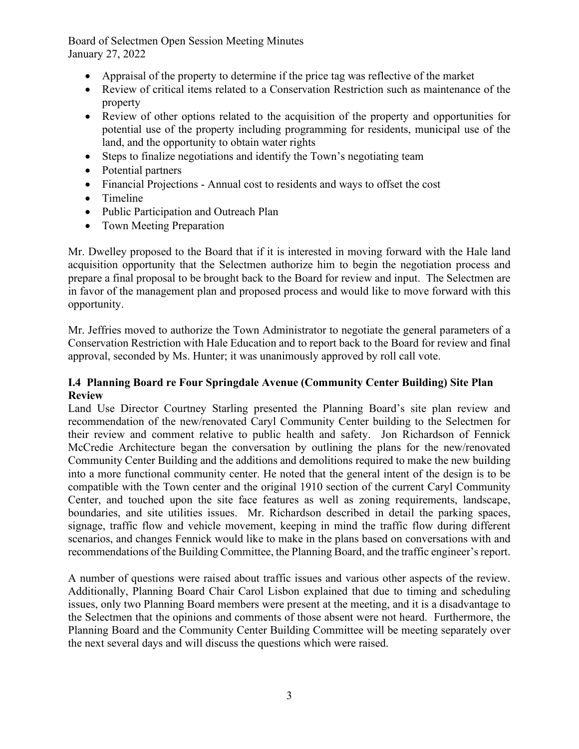Board of Selectmen Open Session Meeting Minutes January 27, 2022

- Appraisal of the property to determine if the price tag was reflective of the market
- Review of critical items related to a Conservation Restriction such as maintenance of the property
- Review of other options related to the acquisition of the property and opportunities for potential use of the property including programming for residents, municipal use of the land, and the opportunity to obtain water rights
- Steps to finalize negotiations and identify the Town's negotiating team
- Potential partners
- Financial Projections Annual cost to residents and ways to offset the cost
- Timeline
- Public Participation and Outreach Plan
- Town Meeting Preparation

Mr. Dwelley proposed to the Board that if it is interested in moving forward with the Hale land acquisition opportunity that the Selectmen authorize him to begin the negotiation process and prepare a final proposal to be brought back to the Board for review and input. The Selectmen are in favor of the management plan and proposed process and would like to move forward with this opportunity.

Mr. Jeffries moved to authorize the Town Administrator to negotiate the general parameters of a Conservation Restriction with Hale Education and to report back to the Board for review and final approval, seconded by Ms. Hunter; it was unanimously approved by roll call vote.

### **I.4 Planning Board re Four Springdale Avenue (Community Center Building) Site Plan Review**

Land Use Director Courtney Starling presented the Planning Board's site plan review and recommendation of the new/renovated Caryl Community Center building to the Selectmen for their review and comment relative to public health and safety. Jon Richardson of Fennick McCredie Architecture began the conversation by outlining the plans for the new/renovated Community Center Building and the additions and demolitions required to make the new building into a more functional community center. He noted that the general intent of the design is to be compatible with the Town center and the original 1910 section of the current Caryl Community Center, and touched upon the site face features as well as zoning requirements, landscape, boundaries, and site utilities issues. Mr. Richardson described in detail the parking spaces, signage, traffic flow and vehicle movement, keeping in mind the traffic flow during different scenarios, and changes Fennick would like to make in the plans based on conversations with and recommendations of the Building Committee, the Planning Board, and the traffic engineer's report.

A number of questions were raised about traffic issues and various other aspects of the review. Additionally, Planning Board Chair Carol Lisbon explained that due to timing and scheduling issues, only two Planning Board members were present at the meeting, and it is a disadvantage to the Selectmen that the opinions and comments of those absent were not heard. Furthermore, the Planning Board and the Community Center Building Committee will be meeting separately over the next several days and will discuss the questions which were raised.